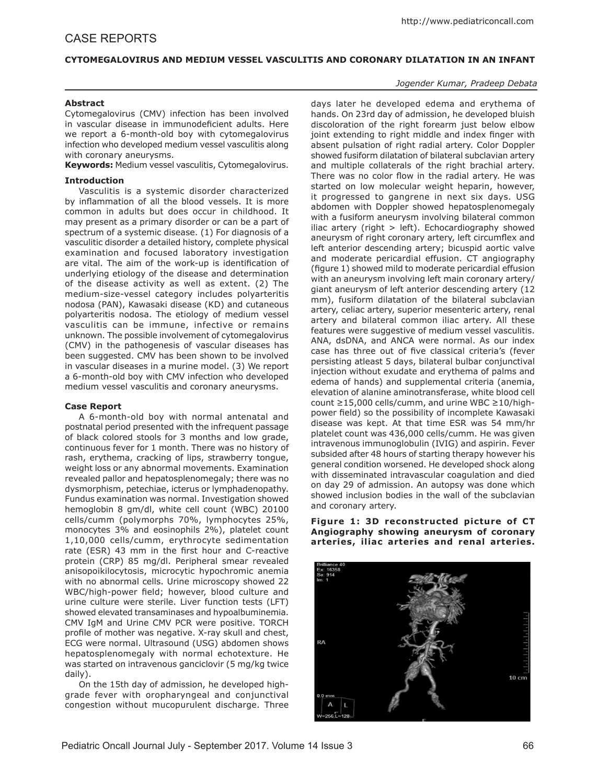## **CYTOMEGALOVIRUS AND MEDIUM VESSEL VASCULITIS AND CORONARY DILATATION IN AN INFANT**

### *Jogender Kumar, Pradeep Debata*

## **Abstract**

Cytomegalovirus (CMV) infection has been involved in vascular disease in immunodeficient adults. Here we report a 6-month-old boy with cytomegalovirus infection who developed medium vessel vasculitis along with coronary aneurysms.

**Keywords:** Medium vessel vasculitis, Cytomegalovirus.

## **Introduction**

Vasculitis is a systemic disorder characterized by inflammation of all the blood vessels. It is more common in adults but does occur in childhood. It may present as a primary disorder or can be a part of spectrum of a systemic disease. (1) For diagnosis of a vasculitic disorder a detailed history, complete physical examination and focused laboratory investigation are vital. The aim of the work-up is identification of underlying etiology of the disease and determination of the disease activity as well as extent. (2) The medium-size-vessel category includes polyarteritis nodosa (PAN), Kawasaki disease (KD) and cutaneous polyarteritis nodosa. The etiology of medium vessel vasculitis can be immune, infective or remains unknown. The possible involvement of cytomegalovirus (CMV) in the pathogenesis of vascular diseases has been suggested. CMV has been shown to be involved in vascular diseases in a murine model. (3) We report a 6-month-old boy with CMV infection who developed medium vessel vasculitis and coronary aneurysms.

#### **Case Report**

A 6-month-old boy with normal antenatal and postnatal period presented with the infrequent passage of black colored stools for 3 months and low grade, continuous fever for 1 month. There was no history of rash, erythema, cracking of lips, strawberry tongue, weight loss or any abnormal movements. Examination revealed pallor and hepatosplenomegaly; there was no dysmorphism, petechiae, icterus or lymphadenopathy. Fundus examination was normal. Investigation showed hemoglobin 8 gm/dl, white cell count (WBC) 20100 cells/cumm (polymorphs 70%, lymphocytes 25%, monocytes 3% and eosinophils 2%), platelet count 1,10,000 cells/cumm, erythrocyte sedimentation rate (ESR) 43 mm in the first hour and C-reactive protein (CRP) 85 mg/dl. Peripheral smear revealed anisopoikilocytosis, microcytic hypochromic anemia with no abnormal cells. Urine microscopy showed 22 WBC/high-power field; however, blood culture and urine culture were sterile. Liver function tests (LFT) showed elevated transaminases and hypoalbuminemia. CMV IgM and Urine CMV PCR were positive. TORCH profile of mother was negative. X-ray skull and chest, ECG were normal. Ultrasound (USG) abdomen shows hepatosplenomegaly with normal echotexture. He was started on intravenous ganciclovir (5 mg/kg twice daily).

On the 15th day of admission, he developed highgrade fever with oropharyngeal and conjunctival congestion without mucopurulent discharge. Three

days later he developed edema and erythema of hands. On 23rd day of admission, he developed bluish discoloration of the right forearm just below elbow joint extending to right middle and index finger with absent pulsation of right radial artery. Color Doppler showed fusiform dilatation of bilateral subclavian artery and multiple collaterals of the right brachial artery. There was no color flow in the radial artery. He was started on low molecular weight heparin, however, it progressed to gangrene in next six days. USG abdomen with Doppler showed hepatosplenomegaly with a fusiform aneurysm involving bilateral common iliac artery (right  $>$  left). Echocardiography showed aneurysm of right coronary artery, left circumflex and left anterior descending artery; bicuspid aortic valve and moderate pericardial effusion. CT angiography (figure 1) showed mild to moderate pericardial effusion with an aneurysm involving left main coronary artery/ giant aneurysm of left anterior descending artery (12 mm), fusiform dilatation of the bilateral subclavian artery, celiac artery, superior mesenteric artery, renal artery and bilateral common iliac artery. All these features were suggestive of medium vessel vasculitis. ANA, dsDNA, and ANCA were normal. As our index case has three out of five classical criteria's (fever persisting atleast 5 days, bilateral bulbar conjunctival injection without exudate and erythema of palms and edema of hands) and supplemental criteria (anemia, elevation of alanine aminotransferase, white blood cell count ≥15,000 cells/cumm, and urine WBC ≥10/highpower field) so the possibility of incomplete Kawasaki disease was kept. At that time ESR was 54 mm/hr platelet count was 436,000 cells/cumm. He was given intravenous immunoglobulin (IVIG) and aspirin. Fever subsided after 48 hours of starting therapy however his general condition worsened. He developed shock along with disseminated intravascular coagulation and died on day 29 of admission. An autopsy was done which showed inclusion bodies in the wall of the subclavian and coronary artery.

**Figure 1: 3D reconstructed picture of CT Angiography showing aneurysm of coronary arteries, iliac arteries and renal arteries.**